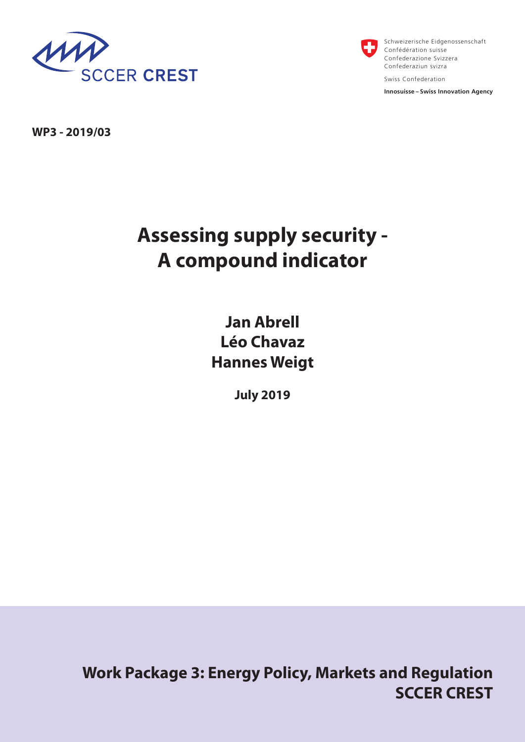



Schweizerische Eidgenossenschaft Confédération suisse Confederazione Svizzera Confederaziun svizra Swiss Confederation

**Innosuisse – Swiss Innovation Agency**

**WP3 - 2019/03**

# **Assessing supply security - A compound indicator**

**Jan Abrell Léo Chavaz Hannes Weigt** 

**July 2019**

**Work Package 3: Energy Policy, Markets and Regulation SCCER CREST**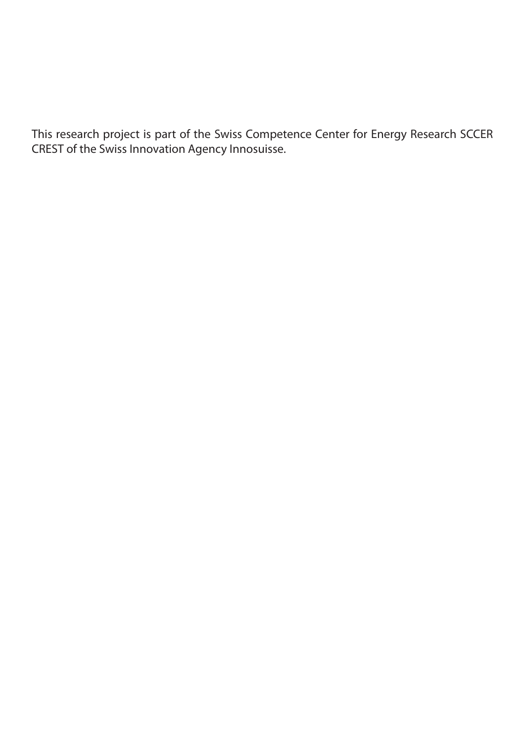This research project is part of the Swiss Competence Center for Energy Research SCCER CREST of the Swiss Innovation Agency Innosuisse.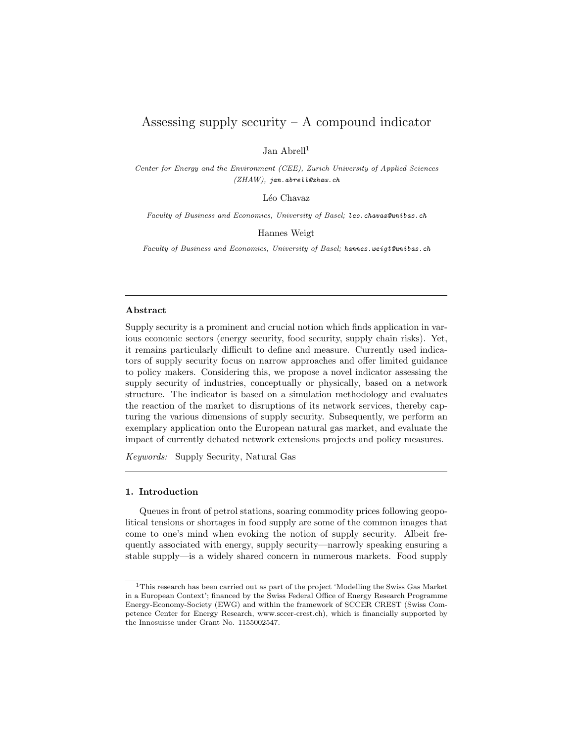## Assessing supply security  $- A$  compound indicator

Jan Abrell<sup>1</sup>

Center for Energy and the Environment (CEE), Zurich University of Applied Sciences (ZHAW), jan.abrell@zhaw.ch

Léo Chavaz

Faculty of Business and Economics, University of Basel; leo.chavaz@unibas.ch

Hannes Weigt

Faculty of Business and Economics, University of Basel; hannes.weigt@unibas.ch

#### Abstract

Supply security is a prominent and crucial notion which finds application in various economic sectors (energy security, food security, supply chain risks). Yet, it remains particularly difficult to define and measure. Currently used indicators of supply security focus on narrow approaches and offer limited guidance to policy makers. Considering this, we propose a novel indicator assessing the supply security of industries, conceptually or physically, based on a network structure. The indicator is based on a simulation methodology and evaluates the reaction of the market to disruptions of its network services, thereby capturing the various dimensions of supply security. Subsequently, we perform an exemplary application onto the European natural gas market, and evaluate the impact of currently debated network extensions projects and policy measures.

Keywords: Supply Security, Natural Gas

#### 1. Introduction

Queues in front of petrol stations, soaring commodity prices following geopolitical tensions or shortages in food supply are some of the common images that come to one's mind when evoking the notion of supply security. Albeit frequently associated with energy, supply security—narrowly speaking ensuring a stable supply—is a widely shared concern in numerous markets. Food supply

<sup>1</sup>This research has been carried out as part of the project 'Modelling the Swiss Gas Market in a European Context'; financed by the Swiss Federal Office of Energy Research Programme Energy-Economy-Society (EWG) and within the framework of SCCER CREST (Swiss Competence Center for Energy Research, www.sccer-crest.ch), which is financially supported by the Innosuisse under Grant No. 1155002547.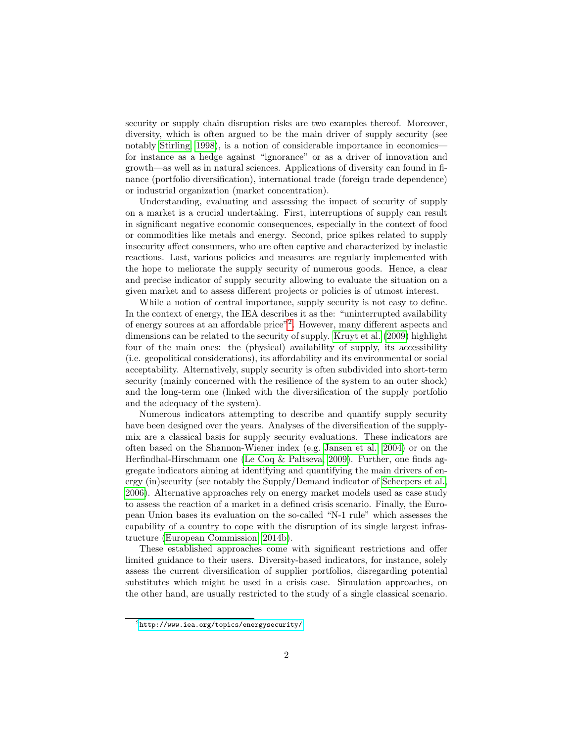security or supply chain disruption risks are two examples thereof. Moreover, diversity, which is often argued to be the main driver of supply security (see notably [Stirling, 1998\)](#page-25-0), is a notion of considerable importance in economics for instance as a hedge against "ignorance" or as a driver of innovation and growth—as well as in natural sciences. Applications of diversity can found in finance (portfolio diversification), international trade (foreign trade dependence) or industrial organization (market concentration).

Understanding, evaluating and assessing the impact of security of supply on a market is a crucial undertaking. First, interruptions of supply can result in significant negative economic consequences, especially in the context of food or commodities like metals and energy. Second, price spikes related to supply insecurity affect consumers, who are often captive and characterized by inelastic reactions. Last, various policies and measures are regularly implemented with the hope to meliorate the supply security of numerous goods. Hence, a clear and precise indicator of supply security allowing to evaluate the situation on a given market and to assess different projects or policies is of utmost interest.

While a notion of central importance, supply security is not easy to define. In the context of energy, the IEA describes it as the: "uninterrupted availability of energy sources at an affordable price"[2](#page-3-0) . However, many different aspects and dimensions can be related to the security of supply. [Kruyt et al.](#page-24-0) [\(2009\)](#page-24-0) highlight four of the main ones: the (physical) availability of supply, its accessibility (i.e. geopolitical considerations), its affordability and its environmental or social acceptability. Alternatively, supply security is often subdivided into short-term security (mainly concerned with the resilience of the system to an outer shock) and the long-term one (linked with the diversification of the supply portfolio and the adequacy of the system).

Numerous indicators attempting to describe and quantify supply security have been designed over the years. Analyses of the diversification of the supplymix are a classical basis for supply security evaluations. These indicators are often based on the Shannon-Wiener index (e.g. [Jansen et al., 2004\)](#page-24-1) or on the Herfindhal-Hirschmann one [\(Le Coq & Paltseva, 2009\)](#page-24-2). Further, one finds aggregate indicators aiming at identifying and quantifying the main drivers of energy (in)security (see notably the Supply/Demand indicator of [Scheepers et al.,](#page-24-3) [2006\)](#page-24-3). Alternative approaches rely on energy market models used as case study to assess the reaction of a market in a defined crisis scenario. Finally, the European Union bases its evaluation on the so-called "N-1 rule" which assesses the capability of a country to cope with the disruption of its single largest infrastructure [\(European Commission, 2014b\)](#page-23-0).

These established approaches come with significant restrictions and offer limited guidance to their users. Diversity-based indicators, for instance, solely assess the current diversification of supplier portfolios, disregarding potential substitutes which might be used in a crisis case. Simulation approaches, on the other hand, are usually restricted to the study of a single classical scenario.

<span id="page-3-0"></span> $^2$ <http://www.iea.org/topics/energysecurity/>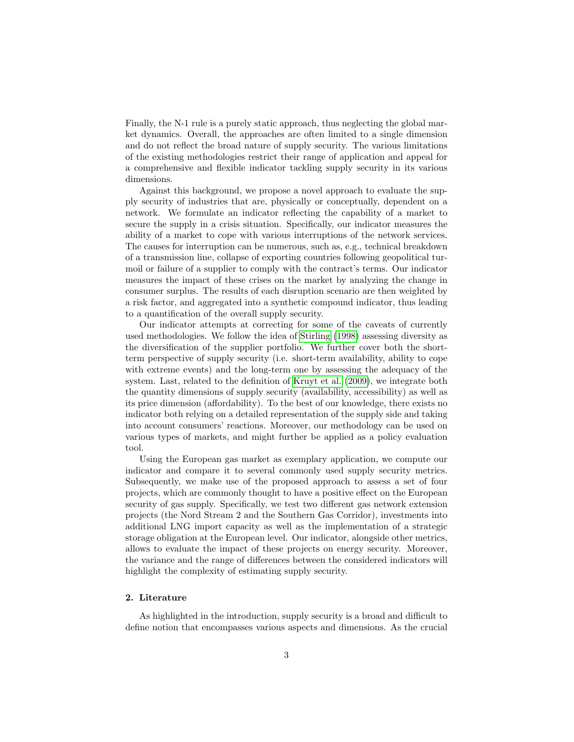Finally, the N-1 rule is a purely static approach, thus neglecting the global market dynamics. Overall, the approaches are often limited to a single dimension and do not reflect the broad nature of supply security. The various limitations of the existing methodologies restrict their range of application and appeal for a comprehensive and flexible indicator tackling supply security in its various dimensions.

Against this background, we propose a novel approach to evaluate the supply security of industries that are, physically or conceptually, dependent on a network. We formulate an indicator reflecting the capability of a market to secure the supply in a crisis situation. Specifically, our indicator measures the ability of a market to cope with various interruptions of the network services. The causes for interruption can be numerous, such as, e.g., technical breakdown of a transmission line, collapse of exporting countries following geopolitical turmoil or failure of a supplier to comply with the contract's terms. Our indicator measures the impact of these crises on the market by analyzing the change in consumer surplus. The results of each disruption scenario are then weighted by a risk factor, and aggregated into a synthetic compound indicator, thus leading to a quantification of the overall supply security.

Our indicator attempts at correcting for some of the caveats of currently used methodologies. We follow the idea of [Stirling](#page-25-0) [\(1998\)](#page-25-0) assessing diversity as the diversification of the supplier portfolio. We further cover both the shortterm perspective of supply security (i.e. short-term availability, ability to cope with extreme events) and the long-term one by assessing the adequacy of the system. Last, related to the definition of [Kruyt et al.](#page-24-0) [\(2009\)](#page-24-0), we integrate both the quantity dimensions of supply security (availability, accessibility) as well as its price dimension (affordability). To the best of our knowledge, there exists no indicator both relying on a detailed representation of the supply side and taking into account consumers' reactions. Moreover, our methodology can be used on various types of markets, and might further be applied as a policy evaluation tool.

Using the European gas market as exemplary application, we compute our indicator and compare it to several commonly used supply security metrics. Subsequently, we make use of the proposed approach to assess a set of four projects, which are commonly thought to have a positive effect on the European security of gas supply. Specifically, we test two different gas network extension projects (the Nord Stream 2 and the Southern Gas Corridor), investments into additional LNG import capacity as well as the implementation of a strategic storage obligation at the European level. Our indicator, alongside other metrics, allows to evaluate the impact of these projects on energy security. Moreover, the variance and the range of differences between the considered indicators will highlight the complexity of estimating supply security.

## 2. Literature

As highlighted in the introduction, supply security is a broad and difficult to define notion that encompasses various aspects and dimensions. As the crucial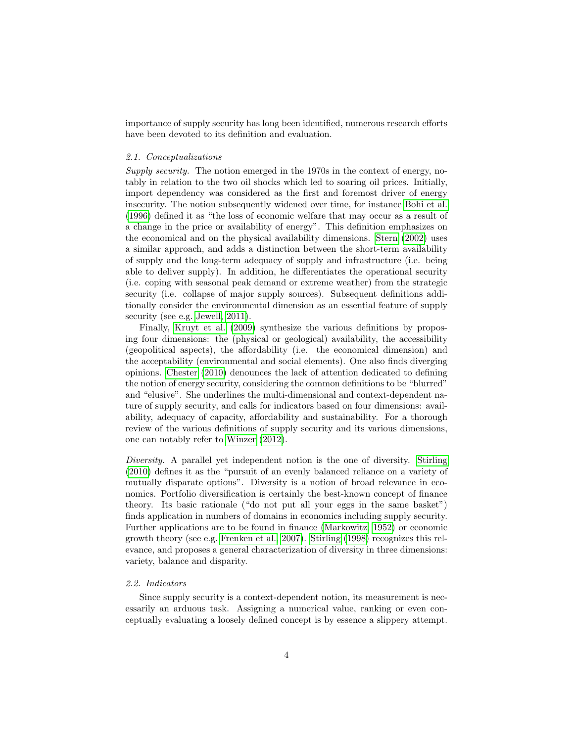importance of supply security has long been identified, numerous research efforts have been devoted to its definition and evaluation.

#### 2.1. Conceptualizations

Supply security. The notion emerged in the 1970s in the context of energy, notably in relation to the two oil shocks which led to soaring oil prices. Initially, import dependency was considered as the first and foremost driver of energy insecurity. The notion subsequently widened over time, for instance [Bohi et al.](#page-23-1) [\(1996\)](#page-23-1) defined it as "the loss of economic welfare that may occur as a result of a change in the price or availability of energy". This definition emphasizes on the economical and on the physical availability dimensions. [Stern](#page-24-4) [\(2002\)](#page-24-4) uses a similar approach, and adds a distinction between the short-term availability of supply and the long-term adequacy of supply and infrastructure (i.e. being able to deliver supply). In addition, he differentiates the operational security (i.e. coping with seasonal peak demand or extreme weather) from the strategic security (i.e. collapse of major supply sources). Subsequent definitions additionally consider the environmental dimension as an essential feature of supply security (see e.g. [Jewell, 2011\)](#page-24-5).

Finally, [Kruyt et al.](#page-24-0) [\(2009\)](#page-24-0) synthesize the various definitions by proposing four dimensions: the (physical or geological) availability, the accessibility (geopolitical aspects), the affordability (i.e. the economical dimension) and the acceptability (environmental and social elements). One also finds diverging opinions. [Chester](#page-23-2) [\(2010\)](#page-23-2) denounces the lack of attention dedicated to defining the notion of energy security, considering the common definitions to be "blurred" and "elusive". She underlines the multi-dimensional and context-dependent nature of supply security, and calls for indicators based on four dimensions: availability, adequacy of capacity, affordability and sustainability. For a thorough review of the various definitions of supply security and its various dimensions, one can notably refer to [Winzer](#page-25-1) [\(2012\)](#page-25-1).

Diversity. A parallel yet independent notion is the one of diversity. [Stirling](#page-25-2) [\(2010\)](#page-25-2) defines it as the "pursuit of an evenly balanced reliance on a variety of mutually disparate options". Diversity is a notion of broad relevance in economics. Portfolio diversification is certainly the best-known concept of finance theory. Its basic rationale ("do not put all your eggs in the same basket") finds application in numbers of domains in economics including supply security. Further applications are to be found in finance [\(Markowitz, 1952\)](#page-24-6) or economic growth theory (see e.g. [Frenken et al., 2007\)](#page-24-7). [Stirling](#page-25-0) [\(1998\)](#page-25-0) recognizes this relevance, and proposes a general characterization of diversity in three dimensions: variety, balance and disparity.

## 2.2. Indicators

Since supply security is a context-dependent notion, its measurement is necessarily an arduous task. Assigning a numerical value, ranking or even conceptually evaluating a loosely defined concept is by essence a slippery attempt.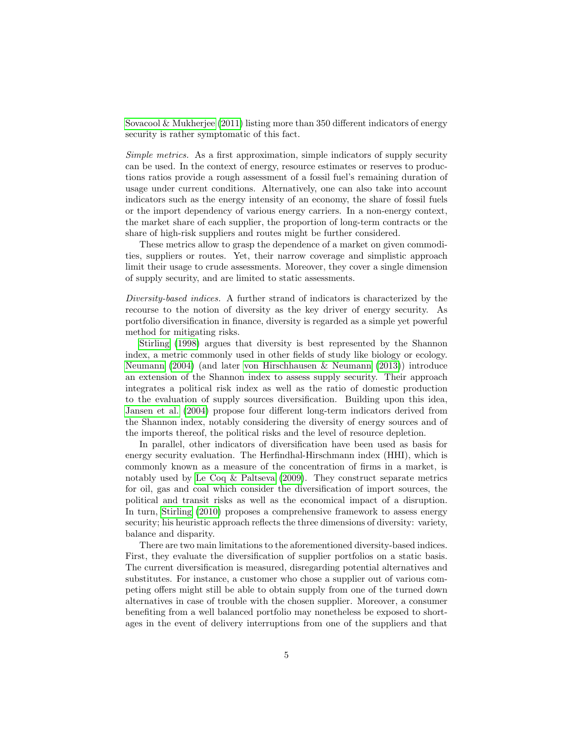[Sovacool & Mukherjee](#page-24-8) [\(2011\)](#page-24-8) listing more than 350 different indicators of energy security is rather symptomatic of this fact.

Simple metrics. As a first approximation, simple indicators of supply security can be used. In the context of energy, resource estimates or reserves to productions ratios provide a rough assessment of a fossil fuel's remaining duration of usage under current conditions. Alternatively, one can also take into account indicators such as the energy intensity of an economy, the share of fossil fuels or the import dependency of various energy carriers. In a non-energy context, the market share of each supplier, the proportion of long-term contracts or the share of high-risk suppliers and routes might be further considered.

These metrics allow to grasp the dependence of a market on given commodities, suppliers or routes. Yet, their narrow coverage and simplistic approach limit their usage to crude assessments. Moreover, they cover a single dimension of supply security, and are limited to static assessments.

Diversity-based indices. A further strand of indicators is characterized by the recourse to the notion of diversity as the key driver of energy security. As portfolio diversification in finance, diversity is regarded as a simple yet powerful method for mitigating risks.

[Stirling](#page-25-0) [\(1998\)](#page-25-0) argues that diversity is best represented by the Shannon index, a metric commonly used in other fields of study like biology or ecology. [Neumann](#page-24-9) [\(2004\)](#page-24-9) (and later [von Hirschhausen & Neumann](#page-24-10) [\(2013\)](#page-24-10)) introduce an extension of the Shannon index to assess supply security. Their approach integrates a political risk index as well as the ratio of domestic production to the evaluation of supply sources diversification. Building upon this idea, [Jansen et al.](#page-24-1) [\(2004\)](#page-24-1) propose four different long-term indicators derived from the Shannon index, notably considering the diversity of energy sources and of the imports thereof, the political risks and the level of resource depletion.

In parallel, other indicators of diversification have been used as basis for energy security evaluation. The Herfindhal-Hirschmann index (HHI), which is commonly known as a measure of the concentration of firms in a market, is notably used by [Le Coq & Paltseva](#page-24-2) [\(2009\)](#page-24-2). They construct separate metrics for oil, gas and coal which consider the diversification of import sources, the political and transit risks as well as the economical impact of a disruption. In turn, [Stirling](#page-25-2) [\(2010\)](#page-25-2) proposes a comprehensive framework to assess energy security; his heuristic approach reflects the three dimensions of diversity: variety, balance and disparity.

There are two main limitations to the aforementioned diversity-based indices. First, they evaluate the diversification of supplier portfolios on a static basis. The current diversification is measured, disregarding potential alternatives and substitutes. For instance, a customer who chose a supplier out of various competing offers might still be able to obtain supply from one of the turned down alternatives in case of trouble with the chosen supplier. Moreover, a consumer benefiting from a well balanced portfolio may nonetheless be exposed to shortages in the event of delivery interruptions from one of the suppliers and that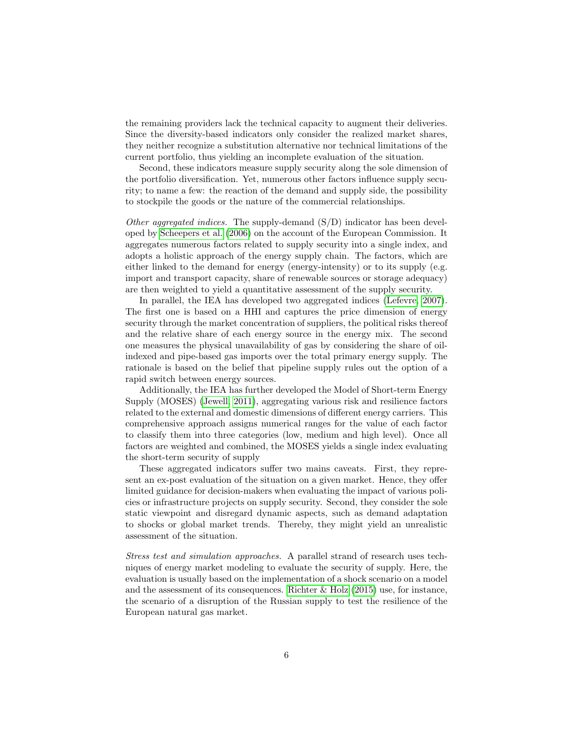the remaining providers lack the technical capacity to augment their deliveries. Since the diversity-based indicators only consider the realized market shares, they neither recognize a substitution alternative nor technical limitations of the current portfolio, thus yielding an incomplete evaluation of the situation.

Second, these indicators measure supply security along the sole dimension of the portfolio diversification. Yet, numerous other factors influence supply security; to name a few: the reaction of the demand and supply side, the possibility to stockpile the goods or the nature of the commercial relationships.

Other aggregated indices. The supply-demand  $(S/D)$  indicator has been developed by [Scheepers et al.](#page-24-3) [\(2006\)](#page-24-3) on the account of the European Commission. It aggregates numerous factors related to supply security into a single index, and adopts a holistic approach of the energy supply chain. The factors, which are either linked to the demand for energy (energy-intensity) or to its supply (e.g. import and transport capacity, share of renewable sources or storage adequacy) are then weighted to yield a quantitative assessment of the supply security.

In parallel, the IEA has developed two aggregated indices [\(Lefevre, 2007\)](#page-24-11). The first one is based on a HHI and captures the price dimension of energy security through the market concentration of suppliers, the political risks thereof and the relative share of each energy source in the energy mix. The second one measures the physical unavailability of gas by considering the share of oilindexed and pipe-based gas imports over the total primary energy supply. The rationale is based on the belief that pipeline supply rules out the option of a rapid switch between energy sources.

Additionally, the IEA has further developed the Model of Short-term Energy Supply (MOSES) [\(Jewell, 2011\)](#page-24-5), aggregating various risk and resilience factors related to the external and domestic dimensions of different energy carriers. This comprehensive approach assigns numerical ranges for the value of each factor to classify them into three categories (low, medium and high level). Once all factors are weighted and combined, the MOSES yields a single index evaluating the short-term security of supply

These aggregated indicators suffer two mains caveats. First, they represent an ex-post evaluation of the situation on a given market. Hence, they offer limited guidance for decision-makers when evaluating the impact of various policies or infrastructure projects on supply security. Second, they consider the sole static viewpoint and disregard dynamic aspects, such as demand adaptation to shocks or global market trends. Thereby, they might yield an unrealistic assessment of the situation.

Stress test and simulation approaches. A parallel strand of research uses techniques of energy market modeling to evaluate the security of supply. Here, the evaluation is usually based on the implementation of a shock scenario on a model and the assessment of its consequences. Richter  $\&$  Holz [\(2015\)](#page-24-12) use, for instance, the scenario of a disruption of the Russian supply to test the resilience of the European natural gas market.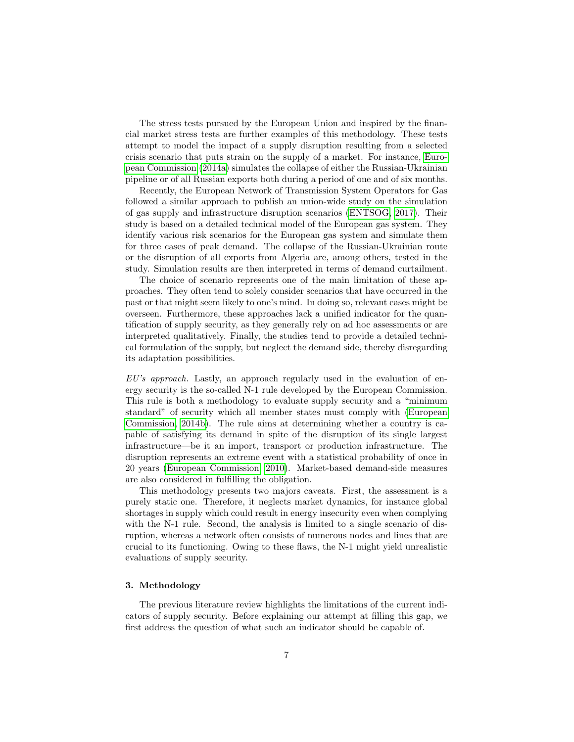The stress tests pursued by the European Union and inspired by the financial market stress tests are further examples of this methodology. These tests attempt to model the impact of a supply disruption resulting from a selected crisis scenario that puts strain on the supply of a market. For instance, [Euro](#page-23-3)[pean Commission](#page-23-3) [\(2014a\)](#page-23-3) simulates the collapse of either the Russian-Ukrainian pipeline or of all Russian exports both during a period of one and of six months.

Recently, the European Network of Transmission System Operators for Gas followed a similar approach to publish an union-wide study on the simulation of gas supply and infrastructure disruption scenarios [\(ENTSOG, 2017\)](#page-23-4). Their study is based on a detailed technical model of the European gas system. They identify various risk scenarios for the European gas system and simulate them for three cases of peak demand. The collapse of the Russian-Ukrainian route or the disruption of all exports from Algeria are, among others, tested in the study. Simulation results are then interpreted in terms of demand curtailment.

The choice of scenario represents one of the main limitation of these approaches. They often tend to solely consider scenarios that have occurred in the past or that might seem likely to one's mind. In doing so, relevant cases might be overseen. Furthermore, these approaches lack a unified indicator for the quantification of supply security, as they generally rely on ad hoc assessments or are interpreted qualitatively. Finally, the studies tend to provide a detailed technical formulation of the supply, but neglect the demand side, thereby disregarding its adaptation possibilities.

 $EU's$  approach. Lastly, an approach regularly used in the evaluation of energy security is the so-called N-1 rule developed by the European Commission. This rule is both a methodology to evaluate supply security and a "minimum standard" of security which all member states must comply with [\(European](#page-23-0) [Commission, 2014b\)](#page-23-0). The rule aims at determining whether a country is capable of satisfying its demand in spite of the disruption of its single largest infrastructure—be it an import, transport or production infrastructure. The disruption represents an extreme event with a statistical probability of once in 20 years [\(European Commission, 2010\)](#page-23-5). Market-based demand-side measures are also considered in fulfilling the obligation.

This methodology presents two majors caveats. First, the assessment is a purely static one. Therefore, it neglects market dynamics, for instance global shortages in supply which could result in energy insecurity even when complying with the N-1 rule. Second, the analysis is limited to a single scenario of disruption, whereas a network often consists of numerous nodes and lines that are crucial to its functioning. Owing to these flaws, the N-1 might yield unrealistic evaluations of supply security.

## <span id="page-8-0"></span>3. Methodology

The previous literature review highlights the limitations of the current indicators of supply security. Before explaining our attempt at filling this gap, we first address the question of what such an indicator should be capable of.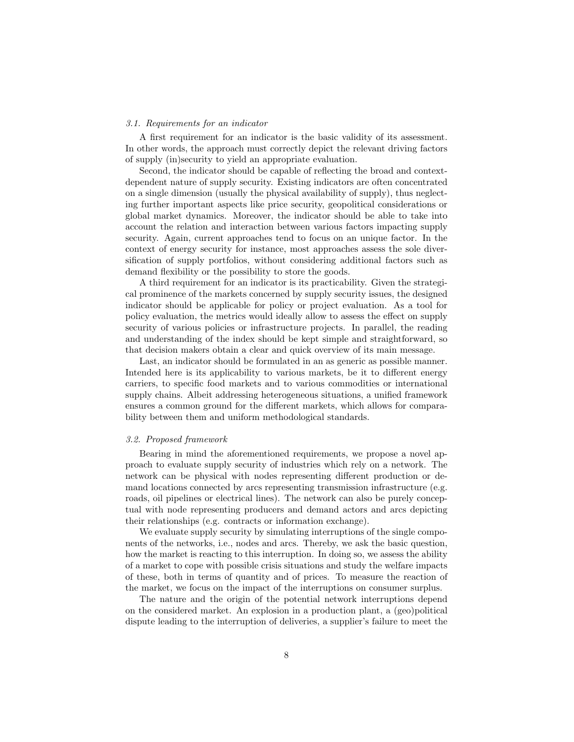#### 3.1. Requirements for an indicator

A first requirement for an indicator is the basic validity of its assessment. In other words, the approach must correctly depict the relevant driving factors of supply (in)security to yield an appropriate evaluation.

Second, the indicator should be capable of reflecting the broad and contextdependent nature of supply security. Existing indicators are often concentrated on a single dimension (usually the physical availability of supply), thus neglecting further important aspects like price security, geopolitical considerations or global market dynamics. Moreover, the indicator should be able to take into account the relation and interaction between various factors impacting supply security. Again, current approaches tend to focus on an unique factor. In the context of energy security for instance, most approaches assess the sole diversification of supply portfolios, without considering additional factors such as demand flexibility or the possibility to store the goods.

A third requirement for an indicator is its practicability. Given the strategical prominence of the markets concerned by supply security issues, the designed indicator should be applicable for policy or project evaluation. As a tool for policy evaluation, the metrics would ideally allow to assess the effect on supply security of various policies or infrastructure projects. In parallel, the reading and understanding of the index should be kept simple and straightforward, so that decision makers obtain a clear and quick overview of its main message.

Last, an indicator should be formulated in an as generic as possible manner. Intended here is its applicability to various markets, be it to different energy carriers, to specific food markets and to various commodities or international supply chains. Albeit addressing heterogeneous situations, a unified framework ensures a common ground for the different markets, which allows for comparability between them and uniform methodological standards.

#### 3.2. Proposed framework

Bearing in mind the aforementioned requirements, we propose a novel approach to evaluate supply security of industries which rely on a network. The network can be physical with nodes representing different production or demand locations connected by arcs representing transmission infrastructure (e.g. roads, oil pipelines or electrical lines). The network can also be purely conceptual with node representing producers and demand actors and arcs depicting their relationships (e.g. contracts or information exchange).

We evaluate supply security by simulating interruptions of the single components of the networks, i.e., nodes and arcs. Thereby, we ask the basic question, how the market is reacting to this interruption. In doing so, we assess the ability of a market to cope with possible crisis situations and study the welfare impacts of these, both in terms of quantity and of prices. To measure the reaction of the market, we focus on the impact of the interruptions on consumer surplus.

The nature and the origin of the potential network interruptions depend on the considered market. An explosion in a production plant, a (geo)political dispute leading to the interruption of deliveries, a supplier's failure to meet the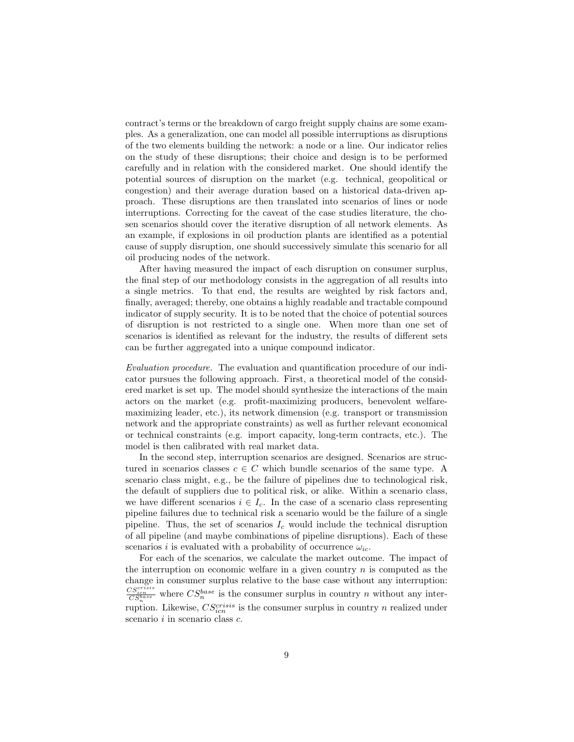contract's terms or the breakdown of cargo freight supply chains are some examples. As a generalization, one can model all possible interruptions as disruptions of the two elements building the network: a node or a line. Our indicator relies on the study of these disruptions; their choice and design is to be performed carefully and in relation with the considered market. One should identify the potential sources of disruption on the market (e.g. technical, geopolitical or congestion) and their average duration based on a historical data-driven approach. These disruptions are then translated into scenarios of lines or node interruptions. Correcting for the caveat of the case studies literature, the chosen scenarios should cover the iterative disruption of all network elements. As an example, if explosions in oil production plants are identified as a potential cause of supply disruption, one should successively simulate this scenario for all oil producing nodes of the network.

After having measured the impact of each disruption on consumer surplus, the final step of our methodology consists in the aggregation of all results into a single metrics. To that end, the results are weighted by risk factors and, finally, averaged; thereby, one obtains a highly readable and tractable compound indicator of supply security. It is to be noted that the choice of potential sources of disruption is not restricted to a single one. When more than one set of scenarios is identified as relevant for the industry, the results of different sets can be further aggregated into a unique compound indicator.

Evaluation procedure. The evaluation and quantification procedure of our indicator pursues the following approach. First, a theoretical model of the considered market is set up. The model should synthesize the interactions of the main actors on the market (e.g. profit-maximizing producers, benevolent welfaremaximizing leader, etc.), its network dimension (e.g. transport or transmission network and the appropriate constraints) as well as further relevant economical or technical constraints (e.g. import capacity, long-term contracts, etc.). The model is then calibrated with real market data.

In the second step, interruption scenarios are designed. Scenarios are structured in scenarios classes  $c \in C$  which bundle scenarios of the same type. A scenario class might, e.g., be the failure of pipelines due to technological risk, the default of suppliers due to political risk, or alike. Within a scenario class, we have different scenarios  $i \in I_c$ . In the case of a scenario class representing pipeline failures due to technical risk a scenario would be the failure of a single pipeline. Thus, the set of scenarios  $I_c$  would include the technical disruption of all pipeline (and maybe combinations of pipeline disruptions). Each of these scenarios *i* is evaluated with a probability of occurrence  $\omega_{ic}$ .

For each of the scenarios, we calculate the market outcome. The impact of the interruption on economic welfare in a given country  $n$  is computed as the change in consumer surplus relative to the base case without any interruption:  $\frac{CS_{ion}^{c}s_{ion}^{c}}{CS_{n}^{base}}$  where  $CS_{n}^{base}$  is the consumer surplus in country n without any interruption. Likewise,  $CS_{icn}^{crisis}$  is the consumer surplus in country n realized under scenario  $i$  in scenario class  $c$ .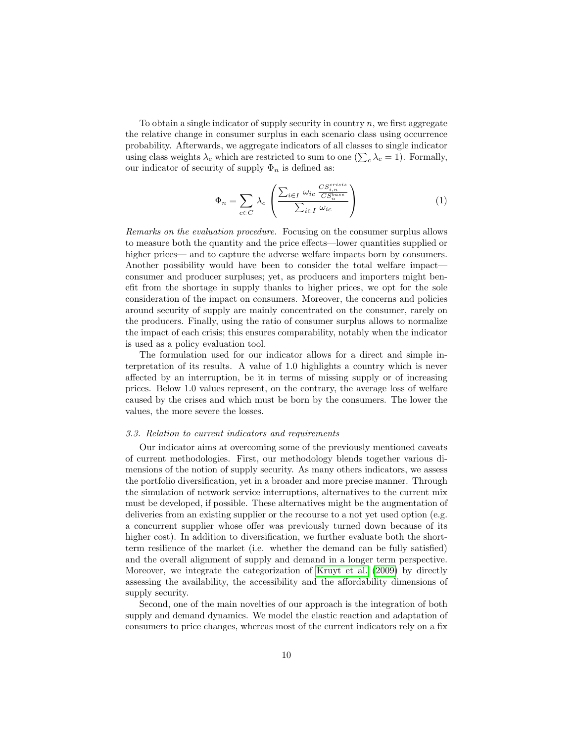To obtain a single indicator of supply security in country  $n$ , we first aggregate the relative change in consumer surplus in each scenario class using occurrence probability. Afterwards, we aggregate indicators of all classes to single indicator using class weights  $\lambda_c$  which are restricted to sum to one  $(\sum_c \lambda_c = 1)$ . Formally, our indicator of security of supply  $\Phi_n$  is defined as:

$$
\Phi_n = \sum_{c \in C} \lambda_c \left( \frac{\sum_{i \in I} \omega_{ic} \frac{CS_{i,n}^{criss}}{CS_n^{base}}}{\sum_{i \in I} \omega_{ic}} \right) \tag{1}
$$

Remarks on the evaluation procedure. Focusing on the consumer surplus allows to measure both the quantity and the price effects—lower quantities supplied or higher prices— and to capture the adverse welfare impacts born by consumers. Another possibility would have been to consider the total welfare impact consumer and producer surpluses; yet, as producers and importers might benefit from the shortage in supply thanks to higher prices, we opt for the sole consideration of the impact on consumers. Moreover, the concerns and policies around security of supply are mainly concentrated on the consumer, rarely on the producers. Finally, using the ratio of consumer surplus allows to normalize the impact of each crisis; this ensures comparability, notably when the indicator is used as a policy evaluation tool.

The formulation used for our indicator allows for a direct and simple interpretation of its results. A value of 1.0 highlights a country which is never affected by an interruption, be it in terms of missing supply or of increasing prices. Below 1.0 values represent, on the contrary, the average loss of welfare caused by the crises and which must be born by the consumers. The lower the values, the more severe the losses.

#### 3.3. Relation to current indicators and requirements

Our indicator aims at overcoming some of the previously mentioned caveats of current methodologies. First, our methodology blends together various dimensions of the notion of supply security. As many others indicators, we assess the portfolio diversification, yet in a broader and more precise manner. Through the simulation of network service interruptions, alternatives to the current mix must be developed, if possible. These alternatives might be the augmentation of deliveries from an existing supplier or the recourse to a not yet used option (e.g. a concurrent supplier whose offer was previously turned down because of its higher cost). In addition to diversification, we further evaluate both the shortterm resilience of the market (i.e. whether the demand can be fully satisfied) and the overall alignment of supply and demand in a longer term perspective. Moreover, we integrate the categorization of [Kruyt et al.](#page-24-0) [\(2009\)](#page-24-0) by directly assessing the availability, the accessibility and the affordability dimensions of supply security.

Second, one of the main novelties of our approach is the integration of both supply and demand dynamics. We model the elastic reaction and adaptation of consumers to price changes, whereas most of the current indicators rely on a fix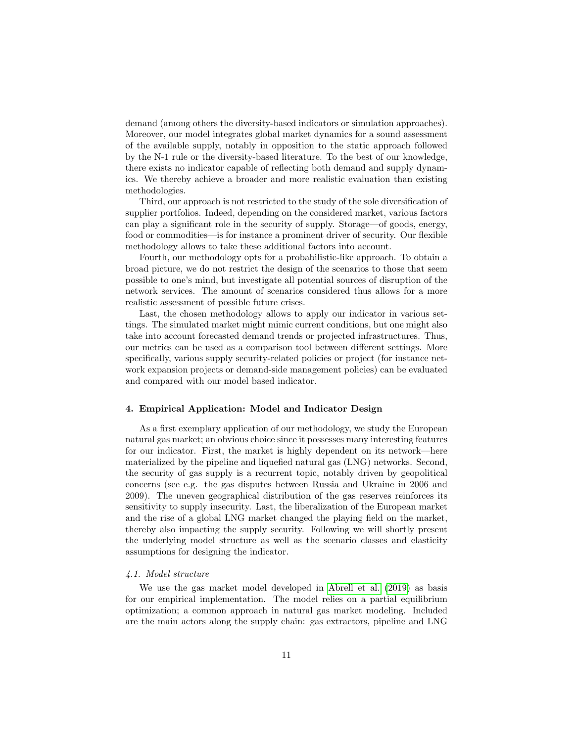demand (among others the diversity-based indicators or simulation approaches). Moreover, our model integrates global market dynamics for a sound assessment of the available supply, notably in opposition to the static approach followed by the N-1 rule or the diversity-based literature. To the best of our knowledge, there exists no indicator capable of reflecting both demand and supply dynamics. We thereby achieve a broader and more realistic evaluation than existing methodologies.

Third, our approach is not restricted to the study of the sole diversification of supplier portfolios. Indeed, depending on the considered market, various factors can play a significant role in the security of supply. Storage—of goods, energy, food or commodities—is for instance a prominent driver of security. Our flexible methodology allows to take these additional factors into account.

Fourth, our methodology opts for a probabilistic-like approach. To obtain a broad picture, we do not restrict the design of the scenarios to those that seem possible to one's mind, but investigate all potential sources of disruption of the network services. The amount of scenarios considered thus allows for a more realistic assessment of possible future crises.

Last, the chosen methodology allows to apply our indicator in various settings. The simulated market might mimic current conditions, but one might also take into account forecasted demand trends or projected infrastructures. Thus, our metrics can be used as a comparison tool between different settings. More specifically, various supply security-related policies or project (for instance network expansion projects or demand-side management policies) can be evaluated and compared with our model based indicator.

## 4. Empirical Application: Model and Indicator Design

As a first exemplary application of our methodology, we study the European natural gas market; an obvious choice since it possesses many interesting features for our indicator. First, the market is highly dependent on its network—here materialized by the pipeline and liquefied natural gas (LNG) networks. Second, the security of gas supply is a recurrent topic, notably driven by geopolitical concerns (see e.g. the gas disputes between Russia and Ukraine in 2006 and 2009). The uneven geographical distribution of the gas reserves reinforces its sensitivity to supply insecurity. Last, the liberalization of the European market and the rise of a global LNG market changed the playing field on the market, thereby also impacting the supply security. Following we will shortly present the underlying model structure as well as the scenario classes and elasticity assumptions for designing the indicator.

## 4.1. Model structure

We use the gas market model developed in [Abrell et al.](#page-23-6) [\(2019\)](#page-23-6) as basis for our empirical implementation. The model relies on a partial equilibrium optimization; a common approach in natural gas market modeling. Included are the main actors along the supply chain: gas extractors, pipeline and LNG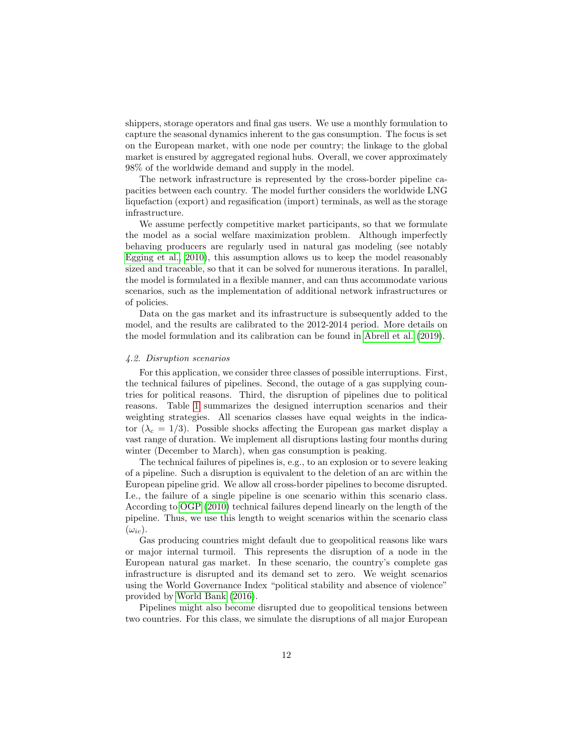shippers, storage operators and final gas users. We use a monthly formulation to capture the seasonal dynamics inherent to the gas consumption. The focus is set on the European market, with one node per country; the linkage to the global market is ensured by aggregated regional hubs. Overall, we cover approximately 98% of the worldwide demand and supply in the model.

The network infrastructure is represented by the cross-border pipeline capacities between each country. The model further considers the worldwide LNG liquefaction (export) and regasification (import) terminals, as well as the storage infrastructure.

We assume perfectly competitive market participants, so that we formulate the model as a social welfare maximization problem. Although imperfectly behaving producers are regularly used in natural gas modeling (see notably [Egging et al., 2010\)](#page-23-7), this assumption allows us to keep the model reasonably sized and traceable, so that it can be solved for numerous iterations. In parallel, the model is formulated in a flexible manner, and can thus accommodate various scenarios, such as the implementation of additional network infrastructures or of policies.

Data on the gas market and its infrastructure is subsequently added to the model, and the results are calibrated to the 2012-2014 period. More details on the model formulation and its calibration can be found in [Abrell et al.](#page-23-6) [\(2019\)](#page-23-6).

#### 4.2. Disruption scenarios

For this application, we consider three classes of possible interruptions. First, the technical failures of pipelines. Second, the outage of a gas supplying countries for political reasons. Third, the disruption of pipelines due to political reasons. Table [1](#page-14-0) summarizes the designed interruption scenarios and their weighting strategies. All scenarios classes have equal weights in the indicator ( $\lambda_c = 1/3$ ). Possible shocks affecting the European gas market display a vast range of duration. We implement all disruptions lasting four months during winter (December to March), when gas consumption is peaking.

The technical failures of pipelines is, e.g., to an explosion or to severe leaking of a pipeline. Such a disruption is equivalent to the deletion of an arc within the European pipeline grid. We allow all cross-border pipelines to become disrupted. I.e., the failure of a single pipeline is one scenario within this scenario class. According to [OGP](#page-24-13) [\(2010\)](#page-24-13) technical failures depend linearly on the length of the pipeline. Thus, we use this length to weight scenarios within the scenario class  $(\omega_{ic})$ .

Gas producing countries might default due to geopolitical reasons like wars or major internal turmoil. This represents the disruption of a node in the European natural gas market. In these scenario, the country's complete gas infrastructure is disrupted and its demand set to zero. We weight scenarios using the World Governance Index "political stability and absence of violence" provided by [World Bank](#page-25-3) [\(2016\)](#page-25-3).

Pipelines might also become disrupted due to geopolitical tensions between two countries. For this class, we simulate the disruptions of all major European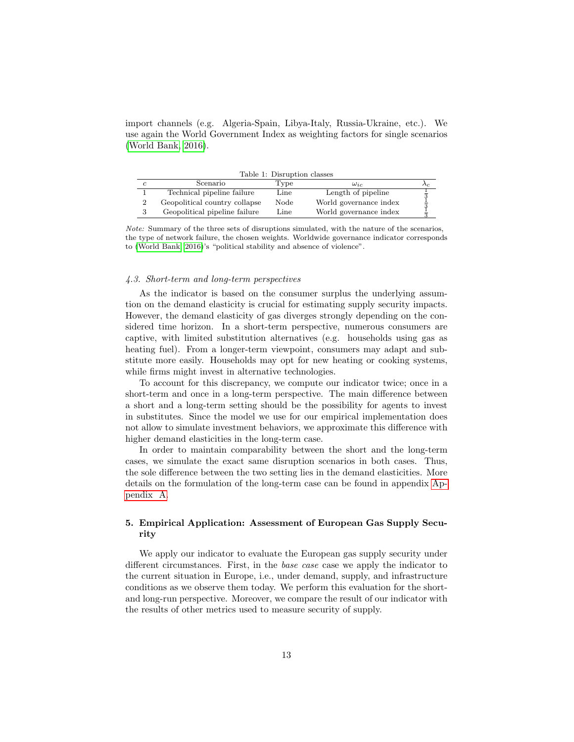import channels (e.g. Algeria-Spain, Libya-Italy, Russia-Ukraine, etc.). We use again the World Government Index as weighting factors for single scenarios [\(World Bank, 2016\)](#page-25-3).

<span id="page-14-0"></span>

|  |  |  |  | Table 1: Disruption classes |
|--|--|--|--|-----------------------------|
|--|--|--|--|-----------------------------|

| Scenario                      | Type                                     | $\omega_{ic}$          | Λc. |
|-------------------------------|------------------------------------------|------------------------|-----|
| Technical pipeline failure    | Line                                     | Length of pipeline     |     |
| Geopolitical country collapse | Node                                     | World governance index |     |
| Geopolitical pipeline failure | $\mathop{\operatorname {Line}}\nolimits$ | World governance index |     |

Note: Summary of the three sets of disruptions simulated, with the nature of the scenarios, the type of network failure, the chosen weights. Worldwide governance indicator corresponds to [\(World Bank, 2016\)](#page-25-3)'s "political stability and absence of violence".

## 4.3. Short-term and long-term perspectives

As the indicator is based on the consumer surplus the underlying assumtion on the demand elasticity is crucial for estimating supply security impacts. However, the demand elasticity of gas diverges strongly depending on the considered time horizon. In a short-term perspective, numerous consumers are captive, with limited substitution alternatives (e.g. households using gas as heating fuel). From a longer-term viewpoint, consumers may adapt and substitute more easily. Households may opt for new heating or cooking systems, while firms might invest in alternative technologies.

To account for this discrepancy, we compute our indicator twice; once in a short-term and once in a long-term perspective. The main difference between a short and a long-term setting should be the possibility for agents to invest in substitutes. Since the model we use for our empirical implementation does not allow to simulate investment behaviors, we approximate this difference with higher demand elasticities in the long-term case.

In order to maintain comparability between the short and the long-term cases, we simulate the exact same disruption scenarios in both cases. Thus, the sole difference between the two setting lies in the demand elasticities. More details on the formulation of the long-term case can be found in appendix [Ap](#page-26-0)[pendix A.](#page-26-0)

## 5. Empirical Application: Assessment of European Gas Supply Security

We apply our indicator to evaluate the European gas supply security under different circumstances. First, in the *base case* case we apply the indicator to the current situation in Europe, i.e., under demand, supply, and infrastructure conditions as we observe them today. We perform this evaluation for the shortand long-run perspective. Moreover, we compare the result of our indicator with the results of other metrics used to measure security of supply.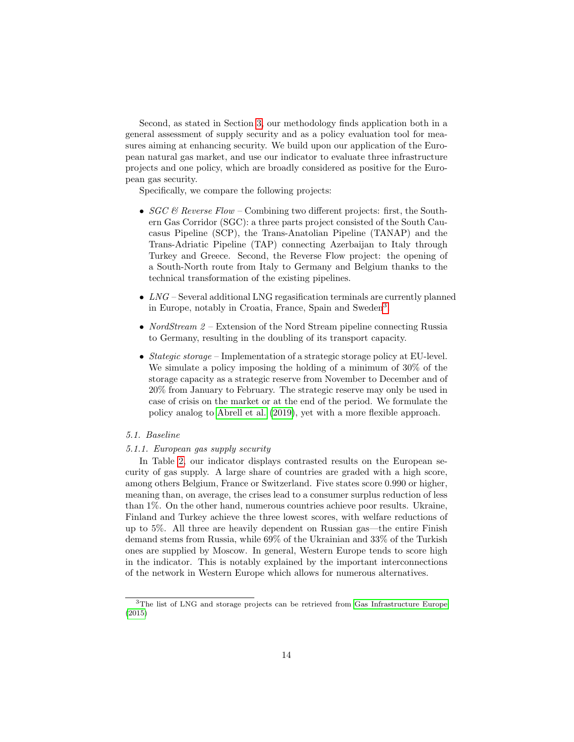Second, as stated in Section [3,](#page-8-0) our methodology finds application both in a general assessment of supply security and as a policy evaluation tool for measures aiming at enhancing security. We build upon our application of the European natural gas market, and use our indicator to evaluate three infrastructure projects and one policy, which are broadly considered as positive for the European gas security.

Specifically, we compare the following projects:

- $SGC & Reverse Flow$  Combining two different projects: first, the Southern Gas Corridor (SGC): a three parts project consisted of the South Caucasus Pipeline (SCP), the Trans-Anatolian Pipeline (TANAP) and the Trans-Adriatic Pipeline (TAP) connecting Azerbaijan to Italy through Turkey and Greece. Second, the Reverse Flow project: the opening of a South-North route from Italy to Germany and Belgium thanks to the technical transformation of the existing pipelines.
- $LNG$  Several additional LNG regasification terminals are currently planned in Europe, notably in Croatia, France, Spain and Sweden[3](#page-15-0) .
- NordStream  $2$  Extension of the Nord Stream pipeline connecting Russia to Germany, resulting in the doubling of its transport capacity.
- Stategic storage Implementation of a strategic storage policy at EU-level. We simulate a policy imposing the holding of a minimum of 30% of the storage capacity as a strategic reserve from November to December and of 20% from January to February. The strategic reserve may only be used in case of crisis on the market or at the end of the period. We formulate the policy analog to [Abrell et al.](#page-23-6) [\(2019\)](#page-23-6), yet with a more flexible approach.

#### 5.1. Baseline

#### 5.1.1. European gas supply security

In Table [2,](#page-16-0) our indicator displays contrasted results on the European security of gas supply. A large share of countries are graded with a high score, among others Belgium, France or Switzerland. Five states score 0.990 or higher, meaning than, on average, the crises lead to a consumer surplus reduction of less than 1%. On the other hand, numerous countries achieve poor results. Ukraine, Finland and Turkey achieve the three lowest scores, with welfare reductions of up to 5%. All three are heavily dependent on Russian gas—the entire Finish demand stems from Russia, while 69% of the Ukrainian and 33% of the Turkish ones are supplied by Moscow. In general, Western Europe tends to score high in the indicator. This is notably explained by the important interconnections of the network in Western Europe which allows for numerous alternatives.

<span id="page-15-0"></span><sup>3</sup>The list of LNG and storage projects can be retrieved from [Gas Infrastructure Europe](#page-24-14) [\(2015\)](#page-24-14)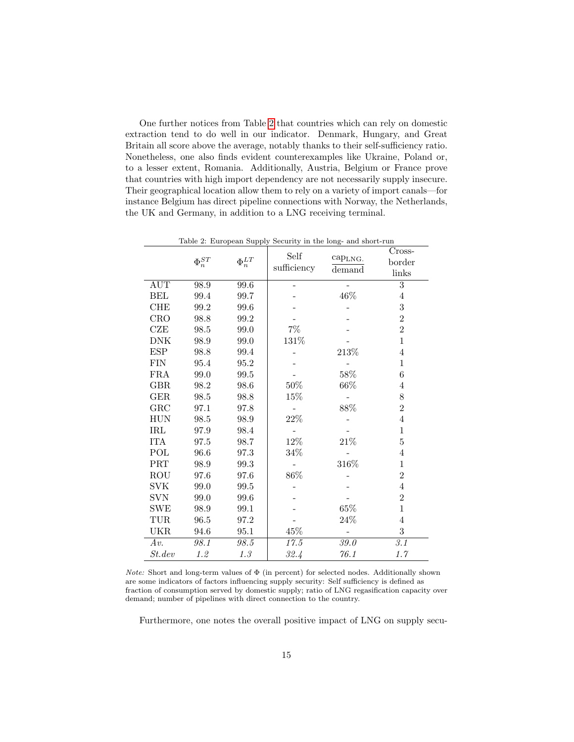One further notices from Table [2](#page-16-0) that countries which can rely on domestic extraction tend to do well in our indicator. Denmark, Hungary, and Great Britain all score above the average, notably thanks to their self-sufficiency ratio. Nonetheless, one also finds evident counterexamples like Ukraine, Poland or, to a lesser extent, Romania. Additionally, Austria, Belgium or France prove that countries with high import dependency are not necessarily supply insecure. Their geographical location allow them to rely on a variety of import canals—for instance Belgium has direct pipeline connections with Norway, the Netherlands, the UK and Germany, in addition to a LNG receiving terminal.

|                           | $\Phi_n^{ST}$ | $\Phi_n^{LT}$ | Self<br>sufficiency | cap <sub>LNG</sub> .<br>demand | $C$ ross-<br>border<br>links |
|---------------------------|---------------|---------------|---------------------|--------------------------------|------------------------------|
| AUT                       | 98.9          | 99.6          |                     |                                | 3                            |
| BEL                       | 99.4          | 99.7          |                     | 46%                            | $\overline{4}$               |
| <b>CHE</b>                | 99.2          | 99.6          |                     |                                | 3                            |
| <b>CRO</b>                | 98.8          | 99.2          |                     |                                | $\overline{2}$               |
| CZE                       | 98.5          | 99.0          | $7\%$               |                                | $\overline{2}$               |
| <b>DNK</b>                | 98.9          | 99.0          | 131%                |                                | $\mathbf{1}$                 |
| <b>ESP</b>                | 98.8          | 99.4          |                     | 213%                           | $\overline{4}$               |
| ${\rm FIN}$               | 95.4          | $95.2\,$      |                     |                                | $\mathbf{1}$                 |
| FRA                       | 99.0          | 99.5          |                     | 58%                            | $\overline{6}$               |
| <b>GBR</b>                | 98.2          | 98.6          | $50\%$              | 66%                            | $\overline{4}$               |
| $\operatorname{GER}$      | 98.5          | 98.8          | 15%                 |                                | 8                            |
| GRC                       | 97.1          | 97.8          |                     | 88%                            | $\overline{2}$               |
| HUN                       | 98.5          | 98.9          | 22%                 |                                | $\overline{4}$               |
| $\operatorname{IRL}$      | 97.9          | 98.4          |                     |                                | $\mathbf{1}$                 |
| <b>ITA</b>                | 97.5          | 98.7          | 12%                 | $21\%$                         | $\overline{5}$               |
| POL                       | 96.6          | 97.3          | 34%                 |                                | $\overline{4}$               |
| $\overline{\mathrm{PRT}}$ | 98.9          | $99.3\,$      |                     | 316%                           | $\mathbf{1}$                 |
| ROU                       | 97.6          | 97.6          | $86\%$              |                                | $\overline{2}$               |
| <b>SVK</b>                | 99.0          | 99.5          |                     |                                | $\overline{4}$               |
| <b>SVN</b>                | 99.0          | 99.6          |                     |                                | $\overline{2}$               |
| SWE                       | 98.9          | 99.1          |                     | 65%                            | $\mathbf{1}$                 |
| TUR                       | 96.5          | 97.2          |                     | 24%                            | $\overline{4}$               |
| UKR                       | 94.6          | 95.1          | 45%                 |                                | 3                            |
| Av.                       | 98.1          | 98.5          | 17.5                | 39.0                           | 3.1                          |
| St. dev                   | 1.2           | 1.3           | 32.4                | 76.1                           | 1.7                          |

<span id="page-16-0"></span>Table 2: European Supply Security in the long- and short-run

 $Note:$  Short and long-term values of  $\Phi$  (in percent) for selected nodes. Additionally shown are some indicators of factors influencing supply security: Self sufficiency is defined as fraction of consumption served by domestic supply; ratio of LNG regasification capacity over demand; number of pipelines with direct connection to the country.

Furthermore, one notes the overall positive impact of LNG on supply secu-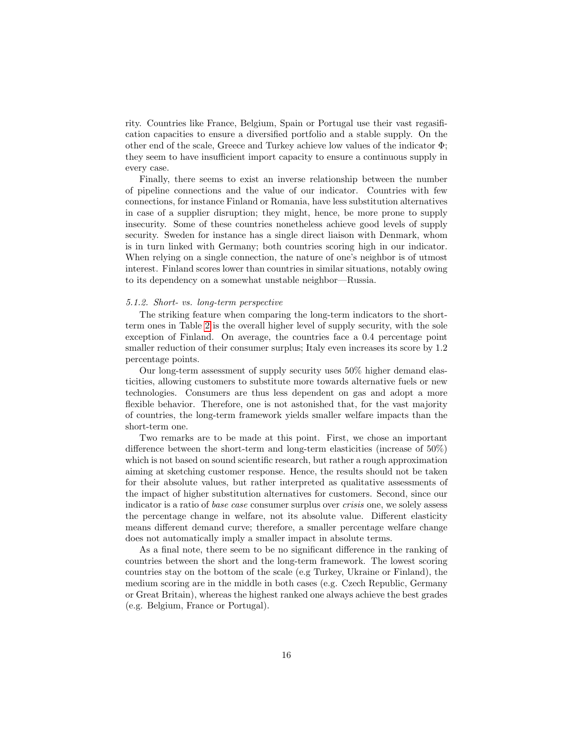rity. Countries like France, Belgium, Spain or Portugal use their vast regasification capacities to ensure a diversified portfolio and a stable supply. On the other end of the scale, Greece and Turkey achieve low values of the indicator Φ; they seem to have insufficient import capacity to ensure a continuous supply in every case.

Finally, there seems to exist an inverse relationship between the number of pipeline connections and the value of our indicator. Countries with few connections, for instance Finland or Romania, have less substitution alternatives in case of a supplier disruption; they might, hence, be more prone to supply insecurity. Some of these countries nonetheless achieve good levels of supply security. Sweden for instance has a single direct liaison with Denmark, whom is in turn linked with Germany; both countries scoring high in our indicator. When relying on a single connection, the nature of one's neighbor is of utmost interest. Finland scores lower than countries in similar situations, notably owing to its dependency on a somewhat unstable neighbor—Russia.

#### 5.1.2. Short- vs. long-term perspective

The striking feature when comparing the long-term indicators to the shortterm ones in Table [2](#page-16-0) is the overall higher level of supply security, with the sole exception of Finland. On average, the countries face a 0.4 percentage point smaller reduction of their consumer surplus; Italy even increases its score by 1.2 percentage points.

Our long-term assessment of supply security uses 50% higher demand elasticities, allowing customers to substitute more towards alternative fuels or new technologies. Consumers are thus less dependent on gas and adopt a more flexible behavior. Therefore, one is not astonished that, for the vast majority of countries, the long-term framework yields smaller welfare impacts than the short-term one.

Two remarks are to be made at this point. First, we chose an important difference between the short-term and long-term elasticities (increase of 50%) which is not based on sound scientific research, but rather a rough approximation aiming at sketching customer response. Hence, the results should not be taken for their absolute values, but rather interpreted as qualitative assessments of the impact of higher substitution alternatives for customers. Second, since our indicator is a ratio of base case consumer surplus over crisis one, we solely assess the percentage change in welfare, not its absolute value. Different elasticity means different demand curve; therefore, a smaller percentage welfare change does not automatically imply a smaller impact in absolute terms.

As a final note, there seem to be no significant difference in the ranking of countries between the short and the long-term framework. The lowest scoring countries stay on the bottom of the scale (e.g Turkey, Ukraine or Finland), the medium scoring are in the middle in both cases (e.g. Czech Republic, Germany or Great Britain), whereas the highest ranked one always achieve the best grades (e.g. Belgium, France or Portugal).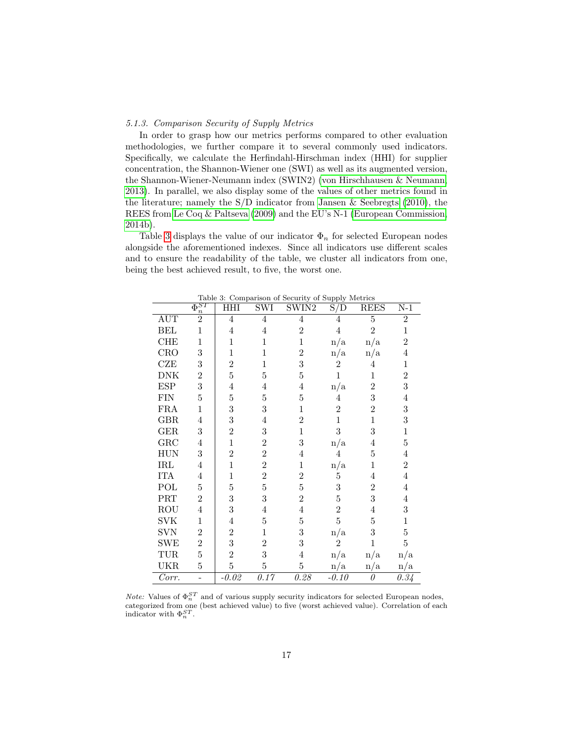#### 5.1.3. Comparison Security of Supply Metrics

In order to grasp how our metrics performs compared to other evaluation methodologies, we further compare it to several commonly used indicators. Specifically, we calculate the Herfindahl-Hirschman index (HHI) for supplier concentration, the Shannon-Wiener one (SWI) as well as its augmented version, the Shannon-Wiener-Neumann index (SWIN2) [\(von Hirschhausen & Neumann,](#page-24-10) [2013\)](#page-24-10). In parallel, we also display some of the values of other metrics found in the literature; namely the S/D indicator from [Jansen & Seebregts](#page-24-15) [\(2010\)](#page-24-15), the REES from [Le Coq & Paltseva](#page-24-2) [\(2009\)](#page-24-2) and the EU's N-1 [\(European Commission,](#page-23-0) [2014b\)](#page-23-0).

Table [3](#page-18-0) displays the value of our indicator  $\Phi_n$  for selected European nodes alongside the aforementioned indexes. Since all indicators use different scales and to ensure the readability of the table, we cluster all indicators from one, being the best achieved result, to five, the worst one.

|            | $\bar{\Phi}_{\circ}^{ST}$<br>$\boldsymbol{n}$ | НHI            | $\overline{\mathrm{SWI}}$ | SWIN2          | $\overline{\mathrm{S}}/\mathrm{D}$ | <b>REES</b>    | $N-1$              |
|------------|-----------------------------------------------|----------------|---------------------------|----------------|------------------------------------|----------------|--------------------|
| <b>AUT</b> | $\overline{2}$                                | $\overline{4}$ | $\overline{4}$            | $\overline{4}$ | $\overline{4}$                     | $\overline{5}$ | $\overline{2}$     |
| <b>BEL</b> | $\mathbf{1}$                                  | $\overline{4}$ | $\overline{4}$            | $\overline{2}$ | $\overline{4}$                     | $\overline{2}$ | $\mathbf{1}$       |
| <b>CHE</b> | $\mathbf{1}$                                  | $\mathbf{1}$   | $\mathbf 1$               | $\mathbf{1}$   | n/a                                | n/a            | $\overline{2}$     |
| CRO        | 3                                             | $\mathbf{1}$   | 1                         | $\overline{2}$ | n/a                                | n/a            | 4                  |
| CZE        | 3                                             | $\overline{2}$ | 1                         | 3              | $\overline{2}$                     | $\overline{4}$ | 1                  |
| <b>DNK</b> | $\overline{2}$                                | $\overline{5}$ | 5                         | 5              | $\mathbf{1}$                       | $\mathbf{1}$   | $\overline{2}$     |
| <b>ESP</b> | 3                                             | $\overline{4}$ | 4                         | 4              | $\mathrm{n}/\mathrm{a}$            | $\overline{2}$ | 3                  |
| <b>FIN</b> | $\bf 5$                                       | $\overline{5}$ | $\overline{5}$            | $\bf 5$        | $\overline{4}$                     | 3              | $\overline{4}$     |
| <b>FRA</b> | $\mathbf 1$                                   | 3              | 3                         | $\mathbf{1}$   | $\overline{2}$                     | $\overline{2}$ | 3                  |
| <b>GBR</b> | 4                                             | 3              | 4                         | $\overline{2}$ | $\mathbf 1$                        | $\mathbf{1}$   | 3                  |
| <b>GER</b> | 3                                             | $\overline{2}$ | 3                         | $\mathbf{1}$   | 3                                  | 3              | 1                  |
| GRC        | 4                                             | $\mathbf{1}$   | $\overline{2}$            | 3              | $\mathrm{n}/\mathrm{a}$            | $\overline{4}$ | $\bf 5$            |
| <b>HUN</b> | 3                                             | $\overline{2}$ | $\overline{2}$            | 4              | 4                                  | 5              | 4                  |
| IRL        | 4                                             | $\mathbf{1}$   | $\overline{2}$            | $\mathbf{1}$   | $\mathrm{n}/\mathrm{a}$            | $\mathbf 1$    | $\overline{2}$     |
| <b>ITA</b> | 4                                             | 1              | $\overline{2}$            | $\overline{2}$ | $\overline{5}$                     | 4              | $\overline{4}$     |
| POL        | 5                                             | $\overline{5}$ | $\overline{5}$            | $\overline{5}$ | 3                                  | $\overline{2}$ | $\overline{4}$     |
| PRT        | $\overline{2}$                                | 3              | 3                         | $\overline{2}$ | $\overline{5}$                     | 3              | $\overline{4}$     |
| ROU        | 4                                             | 3              | 4                         | $\overline{4}$ | $\overline{2}$                     | $\overline{4}$ | 3                  |
| <b>SVK</b> | $\mathbf 1$                                   | $\overline{4}$ | $\overline{5}$            | $\bf 5$        | $\bf 5$                            | $\bf 5$        | $\mathbf{1}$       |
| <b>SVN</b> | $\overline{2}$                                | $\overline{2}$ | $\mathbf{1}$              | 3              | n/a                                | 3              | $\overline{5}$     |
| <b>SWE</b> | $\overline{2}$                                | 3              | $\overline{2}$            | 3              | $\overline{2}$                     | $\mathbf{1}$   | $\bf 5$            |
| TUR        | 5                                             | $\overline{2}$ | 3                         | $\overline{4}$ | n/a                                | n/a            | n/a                |
| <b>UKR</b> | $\overline{5}$                                | $\overline{5}$ | $\overline{5}$            | $\overline{5}$ | n/a                                | n/a            | n/a                |
| Corr.      |                                               | $-0.02$        | 0.17                      | 0.28           | $-0.10$                            | 0              | $\overline{0.3}$ 4 |

<span id="page-18-0"></span>Table 3: Comparison of Security of Supply Metrics

*Note:* Values of  $\Phi_n^{ST}$  and of various supply security indicators for selected European nodes, categorized from one (best achieved value) to five (worst achieved value). Correlation of each indicator with  $\Phi_n^{ST}$ .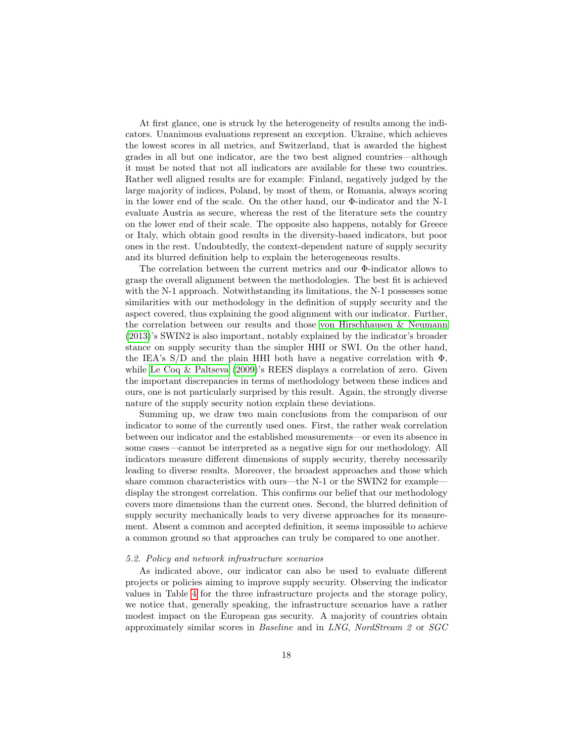At first glance, one is struck by the heterogeneity of results among the indicators. Unanimous evaluations represent an exception. Ukraine, which achieves the lowest scores in all metrics, and Switzerland, that is awarded the highest grades in all but one indicator, are the two best aligned countries—although it must be noted that not all indicators are available for these two countries. Rather well aligned results are for example: Finland, negatively judged by the large majority of indices, Poland, by most of them, or Romania, always scoring in the lower end of the scale. On the other hand, our Φ-indicator and the N-1 evaluate Austria as secure, whereas the rest of the literature sets the country on the lower end of their scale. The opposite also happens, notably for Greece or Italy, which obtain good results in the diversity-based indicators, but poor ones in the rest. Undoubtedly, the context-dependent nature of supply security and its blurred definition help to explain the heterogeneous results.

The correlation between the current metrics and our Φ-indicator allows to grasp the overall alignment between the methodologies. The best fit is achieved with the N-1 approach. Notwithstanding its limitations, the N-1 possesses some similarities with our methodology in the definition of supply security and the aspect covered, thus explaining the good alignment with our indicator. Further, the correlation between our results and those [von Hirschhausen & Neumann](#page-24-10) [\(2013\)](#page-24-10)'s SWIN2 is also important, notably explained by the indicator's broader stance on supply security than the simpler HHI or SWI. On the other hand, the IEA's  $S/D$  and the plain HHI both have a negative correlation with  $\Phi$ , while [Le Coq & Paltseva](#page-24-2) [\(2009\)](#page-24-2)'s REES displays a correlation of zero. Given the important discrepancies in terms of methodology between these indices and ours, one is not particularly surprised by this result. Again, the strongly diverse nature of the supply security notion explain these deviations.

Summing up, we draw two main conclusions from the comparison of our indicator to some of the currently used ones. First, the rather weak correlation between our indicator and the established measurements—or even its absence in some cases—cannot be interpreted as a negative sign for our methodology. All indicators measure different dimensions of supply security, thereby necessarily leading to diverse results. Moreover, the broadest approaches and those which share common characteristics with ours—the N-1 or the SWIN2 for example display the strongest correlation. This confirms our belief that our methodology covers more dimensions than the current ones. Second, the blurred definition of supply security mechanically leads to very diverse approaches for its measurement. Absent a common and accepted definition, it seems impossible to achieve a common ground so that approaches can truly be compared to one another.

#### 5.2. Policy and network infrastructure scenarios

As indicated above, our indicator can also be used to evaluate different projects or policies aiming to improve supply security. Observing the indicator values in Table [4](#page-20-0) for the three infrastructure projects and the storage policy, we notice that, generally speaking, the infrastructure scenarios have a rather modest impact on the European gas security. A majority of countries obtain approximately similar scores in Baseline and in LNG, NordStream 2 or SGC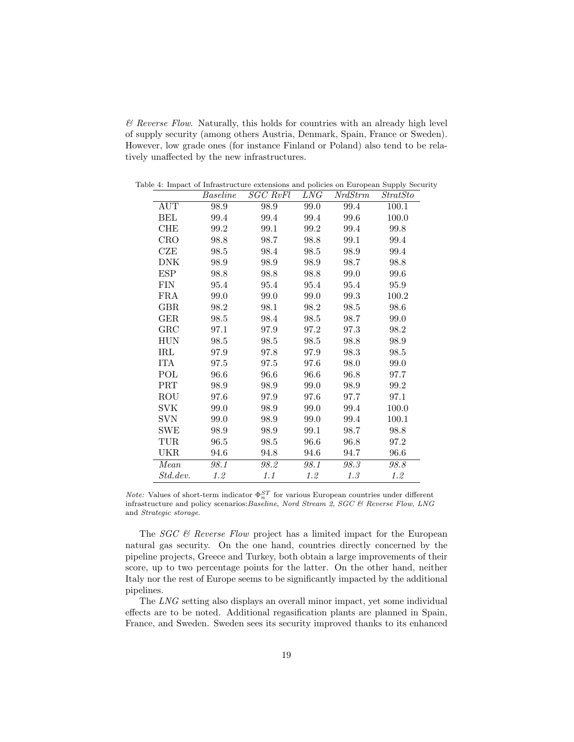$\&$  Reverse Flow. Naturally, this holds for countries with an already high level of supply security (among others Austria, Denmark, Spain, France or Sweden). However, low grade ones (for instance Finland or Poland) also tend to be relatively unaffected by the new infrastructures.

<span id="page-20-0"></span>

|              | Baseline | <b>SGC RvFl</b> | LNG  | <b>NrdStrm</b> | StratSto                                                                     |
|--------------|----------|-----------------|------|----------------|------------------------------------------------------------------------------|
| <b>AUT</b>   | 98.9     | 98.9            | 99.0 | 99.4           | 100.1                                                                        |
| BEL          | 99.4     | 99.4            | 99.4 | 99.6           | 100.0                                                                        |
| <b>CHE</b>   | 99.2     | 99.1            | 99.2 | 99.4           | 99.8                                                                         |
| CRO          | 98.8     | 98.7            | 98.8 | 99.1           | 99.4                                                                         |
| CZE          | 98.5     | 98.4            | 98.5 | 98.9           | 99.4                                                                         |
| DNK          | 98.9     | 98.9            | 98.9 | 98.7           | 98.8                                                                         |
| <b>ESP</b>   | 98.8     | 98.8            | 98.8 | 99.0           | 99.6                                                                         |
| FIN          | 95.4     | 95.4            | 95.4 | 95.4           | 95.9                                                                         |
| <b>FRA</b>   | 99.0     | 99.0            | 99.0 | 99.3           | 100.2                                                                        |
| $_{\rm GBR}$ | 98.2     | 98.1            | 98.2 | 98.5           | 98.6                                                                         |
| $\rm GER$    | 98.5     | 98.4            | 98.5 | 98.7           | 99.0                                                                         |
| GRC          | 97.1     | 97.9            | 97.2 | 97.3           | 98.2                                                                         |
| <b>HUN</b>   | 98.5     | 98.5            | 98.5 | 98.8           | 98.9                                                                         |
| $\rm IRL$    | 97.9     | 97.8            | 97.9 | 98.3           | 98.5                                                                         |
| ITA          | 97.5     | 97.5            | 97.6 | 98.0           | 99.0                                                                         |
| POL          | 96.6     | 96.6            | 96.6 | 96.8           | 97.7                                                                         |
| <b>PRT</b>   | 98.9     | 98.9            | 99.0 | 98.9           | 99.2                                                                         |
| ROU          | 97.6     | 97.9            | 97.6 | 97.7           | 97.1                                                                         |
| SVK          | 99.0     | 98.9            | 99.0 | 99.4           | 100.0                                                                        |
| SVN          | 99.0     | 98.9            | 99.0 | 99.4           | 100.1                                                                        |
| SWE          | 98.9     | 98.9            | 99.1 | 98.7           | 98.8                                                                         |
| $_{\rm TUR}$ | 96.5     | 98.5            | 96.6 | 96.8           | 97.2                                                                         |
| UKR          | 94.6     | 94.8            | 94.6 | 94.7           | 96.6                                                                         |
| Mean         | 98.1     | 98.2            | 98.1 | 98.3           | 98.8                                                                         |
| Std.dev.     | 1.2      | 1.1             | 1.2  | 1.3            | 1.2                                                                          |
|              |          |                 |      |                | . 4. Impace of Innastraceure execusions and poncies on European Supply Secur |

Table 4: Impact of Infrastructure extensions and policies on European Supply Security

*Note:* Values of short-term indicator  $\Phi_n^{ST}$  for various European countries under different infrastructure and policy scenarios:Baseline, Nord Stream 2, SGC & Reverse Flow, LNG and Strategic storage.

The  $SGC \&$  Reverse Flow project has a limited impact for the European natural gas security. On the one hand, countries directly concerned by the pipeline projects, Greece and Turkey, both obtain a large improvements of their score, up to two percentage points for the latter. On the other hand, neither Italy nor the rest of Europe seems to be significantly impacted by the additional pipelines.

The LNG setting also displays an overall minor impact, yet some individual effects are to be noted. Additional regasification plants are planned in Spain, France, and Sweden. Sweden sees its security improved thanks to its enhanced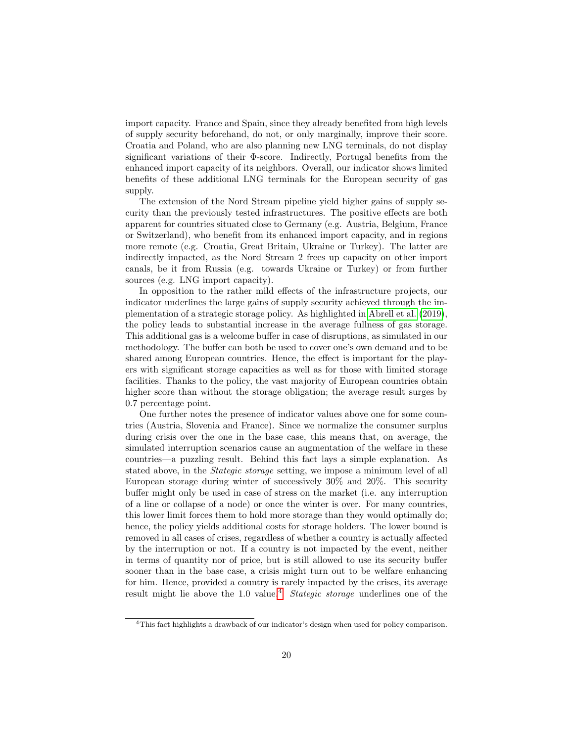import capacity. France and Spain, since they already benefited from high levels of supply security beforehand, do not, or only marginally, improve their score. Croatia and Poland, who are also planning new LNG terminals, do not display significant variations of their Φ-score. Indirectly, Portugal benefits from the enhanced import capacity of its neighbors. Overall, our indicator shows limited benefits of these additional LNG terminals for the European security of gas supply.

The extension of the Nord Stream pipeline yield higher gains of supply security than the previously tested infrastructures. The positive effects are both apparent for countries situated close to Germany (e.g. Austria, Belgium, France or Switzerland), who benefit from its enhanced import capacity, and in regions more remote (e.g. Croatia, Great Britain, Ukraine or Turkey). The latter are indirectly impacted, as the Nord Stream 2 frees up capacity on other import canals, be it from Russia (e.g. towards Ukraine or Turkey) or from further sources (e.g. LNG import capacity).

In opposition to the rather mild effects of the infrastructure projects, our indicator underlines the large gains of supply security achieved through the implementation of a strategic storage policy. As highlighted in [Abrell et al.](#page-23-6) [\(2019\)](#page-23-6), the policy leads to substantial increase in the average fullness of gas storage. This additional gas is a welcome buffer in case of disruptions, as simulated in our methodology. The buffer can both be used to cover one's own demand and to be shared among European countries. Hence, the effect is important for the players with significant storage capacities as well as for those with limited storage facilities. Thanks to the policy, the vast majority of European countries obtain higher score than without the storage obligation; the average result surges by 0.7 percentage point.

One further notes the presence of indicator values above one for some countries (Austria, Slovenia and France). Since we normalize the consumer surplus during crisis over the one in the base case, this means that, on average, the simulated interruption scenarios cause an augmentation of the welfare in these countries—a puzzling result. Behind this fact lays a simple explanation. As stated above, in the Stategic storage setting, we impose a minimum level of all European storage during winter of successively 30% and 20%. This security buffer might only be used in case of stress on the market (i.e. any interruption of a line or collapse of a node) or once the winter is over. For many countries, this lower limit forces them to hold more storage than they would optimally do; hence, the policy yields additional costs for storage holders. The lower bound is removed in all cases of crises, regardless of whether a country is actually affected by the interruption or not. If a country is not impacted by the event, neither in terms of quantity nor of price, but is still allowed to use its security buffer sooner than in the base case, a crisis might turn out to be welfare enhancing for him. Hence, provided a country is rarely impacted by the crises, its average result might lie above the 1.0 value.<sup>[4](#page-21-0)</sup> Stategic storage underlines one of the

<span id="page-21-0"></span><sup>4</sup>This fact highlights a drawback of our indicator's design when used for policy comparison.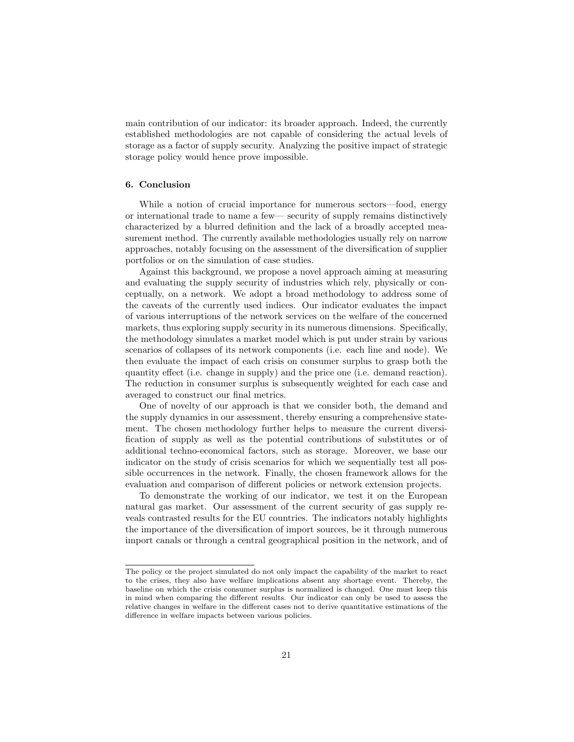main contribution of our indicator: its broader approach. Indeed, the currently established methodologies are not capable of considering the actual levels of storage as a factor of supply security. Analyzing the positive impact of strategic storage policy would hence prove impossible.

## 6. Conclusion

While a notion of crucial importance for numerous sectors—food, energy or international trade to name a few— security of supply remains distinctively characterized by a blurred definition and the lack of a broadly accepted measurement method. The currently available methodologies usually rely on narrow approaches, notably focusing on the assessment of the diversification of supplier portfolios or on the simulation of case studies.

Against this background, we propose a novel approach aiming at measuring and evaluating the supply security of industries which rely, physically or conceptually, on a network. We adopt a broad methodology to address some of the caveats of the currently used indices. Our indicator evaluates the impact of various interruptions of the network services on the welfare of the concerned markets, thus exploring supply security in its numerous dimensions. Specifically, the methodology simulates a market model which is put under strain by various scenarios of collapses of its network components (i.e. each line and node). We then evaluate the impact of each crisis on consumer surplus to grasp both the quantity effect (i.e. change in supply) and the price one (i.e. demand reaction). The reduction in consumer surplus is subsequently weighted for each case and averaged to construct our final metrics.

One of novelty of our approach is that we consider both, the demand and the supply dynamics in our assessment, thereby ensuring a comprehensive statement. The chosen methodology further helps to measure the current diversification of supply as well as the potential contributions of substitutes or of additional techno-economical factors, such as storage. Moreover, we base our indicator on the study of crisis scenarios for which we sequentially test all possible occurrences in the network. Finally, the chosen framework allows for the evaluation and comparison of different policies or network extension projects.

To demonstrate the working of our indicator, we test it on the European natural gas market. Our assessment of the current security of gas supply reveals contrasted results for the EU countries. The indicators notably highlights the importance of the diversification of import sources, be it through numerous import canals or through a central geographical position in the network, and of

The policy or the project simulated do not only impact the capability of the market to react to the crises, they also have welfare implications absent any shortage event. Thereby, the baseline on which the crisis consumer surplus is normalized is changed. One must keep this in mind when comparing the different results. Our indicator can only be used to assess the relative changes in welfare in the different cases not to derive quantitative estimations of the difference in welfare impacts between various policies.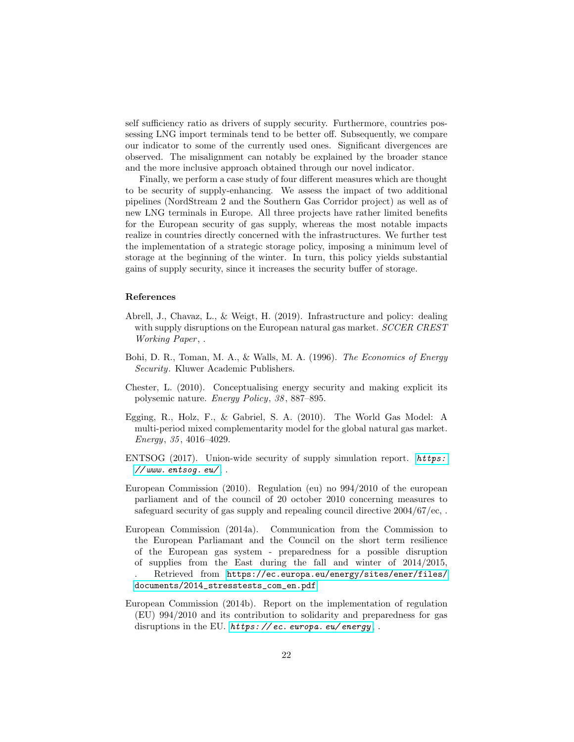self sufficiency ratio as drivers of supply security. Furthermore, countries possessing LNG import terminals tend to be better off. Subsequently, we compare our indicator to some of the currently used ones. Significant divergences are observed. The misalignment can notably be explained by the broader stance and the more inclusive approach obtained through our novel indicator.

Finally, we perform a case study of four different measures which are thought to be security of supply-enhancing. We assess the impact of two additional pipelines (NordStream 2 and the Southern Gas Corridor project) as well as of new LNG terminals in Europe. All three projects have rather limited benefits for the European security of gas supply, whereas the most notable impacts realize in countries directly concerned with the infrastructures. We further test the implementation of a strategic storage policy, imposing a minimum level of storage at the beginning of the winter. In turn, this policy yields substantial gains of supply security, since it increases the security buffer of storage.

## References

- <span id="page-23-6"></span>Abrell, J., Chavaz, L., & Weigt, H. (2019). Infrastructure and policy: dealing with supply disruptions on the European natural gas market. SCCER CREST Working Paper, .
- <span id="page-23-1"></span>Bohi, D. R., Toman, M. A., & Walls, M. A. (1996). The Economics of Energy Security. Kluwer Academic Publishers.
- <span id="page-23-2"></span>Chester, L. (2010). Conceptualising energy security and making explicit its polysemic nature. Energy Policy, 38 , 887–895.
- <span id="page-23-7"></span>Egging, R., Holz, F., & Gabriel, S. A. (2010). The World Gas Model: A multi-period mixed complementarity model for the global natural gas market. Energy, 35 , 4016–4029.
- <span id="page-23-4"></span>ENTSOG (2017). Union-wide security of supply simulation report. [https:](https://www.entsog.eu/)  $//$ www.entsoq.eu/,.
- <span id="page-23-5"></span>European Commission (2010). Regulation (eu) no 994/2010 of the european parliament and of the council of 20 october 2010 concerning measures to safeguard security of gas supply and repealing council directive 2004/67/ec, .
- <span id="page-23-3"></span>European Commission (2014a). Communication from the Commission to the European Parliamant and the Council on the short term resilience of the European gas system - preparedness for a possible disruption of supplies from the East during the fall and winter of 2014/2015, . Retrieved from [https://ec.europa.eu/energy/sites/ener/files/](https://ec.europa.eu/energy/sites/ener/files/documents/2014_stresstests_com_en.pdf) [documents/2014\\_stresstests\\_com\\_en.pdf](https://ec.europa.eu/energy/sites/ener/files/documents/2014_stresstests_com_en.pdf).
- <span id="page-23-0"></span>European Commission (2014b). Report on the implementation of regulation (EU) 994/2010 and its contribution to solidarity and preparedness for gas disruptions in the EU. https://ec. europa. eu/energy,.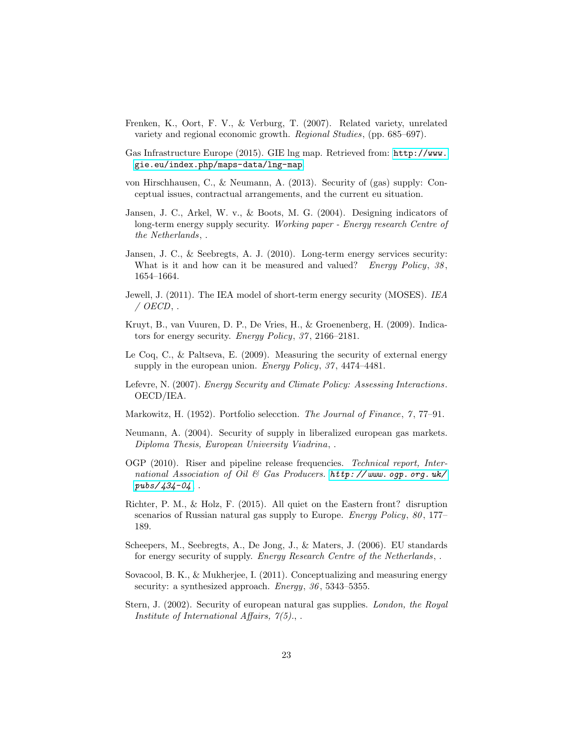- <span id="page-24-7"></span>Frenken, K., Oort, F. V., & Verburg, T. (2007). Related variety, unrelated variety and regional economic growth. Regional Studies, (pp. 685–697).
- <span id="page-24-14"></span>Gas Infrastructure Europe (2015). GIE lng map. Retrieved from: [http://www.](http://www.gie.eu/index.php/maps-data/lng-map) [gie.eu/index.php/maps-data/lng-map](http://www.gie.eu/index.php/maps-data/lng-map).
- <span id="page-24-10"></span>von Hirschhausen, C., & Neumann, A. (2013). Security of (gas) supply: Conceptual issues, contractual arrangements, and the current eu situation.
- <span id="page-24-1"></span>Jansen, J. C., Arkel, W. v., & Boots, M. G. (2004). Designing indicators of long-term energy supply security. Working paper - Energy research Centre of the Netherlands, .
- <span id="page-24-15"></span>Jansen, J. C., & Seebregts, A. J. (2010). Long-term energy services security: What is it and how can it be measured and valued? Energy Policy,  $38$ , 1654–1664.
- <span id="page-24-5"></span>Jewell, J. (2011). The IEA model of short-term energy security (MOSES). IEA  $\angle$  OECD, .
- <span id="page-24-0"></span>Kruyt, B., van Vuuren, D. P., De Vries, H., & Groenenberg, H. (2009). Indicators for energy security. Energy Policy, 37 , 2166–2181.
- <span id="page-24-2"></span>Le Coq, C., & Paltseva, E. (2009). Measuring the security of external energy supply in the european union. Energy Policy, 37, 4474-4481.
- <span id="page-24-11"></span>Lefevre, N. (2007). Energy Security and Climate Policy: Assessing Interactions . OECD/IEA.
- <span id="page-24-6"></span>Markowitz, H. (1952). Portfolio selecction. The Journal of Finance,  $\gamma$ , 77–91.
- <span id="page-24-9"></span>Neumann, A. (2004). Security of supply in liberalized european gas markets. Diploma Thesis, European University Viadrina, .
- <span id="page-24-13"></span>OGP (2010). Riser and pipeline release frequencies. Technical report, International Association of Oil & Gas Producers.  $http://www. ogp. org. uk/$  $pubs/434-04,$ .
- <span id="page-24-12"></span>Richter, P. M., & Holz, F. (2015). All quiet on the Eastern front? disruption scenarios of Russian natural gas supply to Europe. *Energy Policy*, 80, 177– 189.
- <span id="page-24-3"></span>Scheepers, M., Seebregts, A., De Jong, J., & Maters, J. (2006). EU standards for energy security of supply. Energy Research Centre of the Netherlands, .
- <span id="page-24-8"></span>Sovacool, B. K., & Mukherjee, I. (2011). Conceptualizing and measuring energy security: a synthesized approach. Energy, 36, 5343-5355.
- <span id="page-24-4"></span>Stern, J. (2002). Security of european natural gas supplies. London, the Royal Institute of International Affairs,  $7(5)$ ., .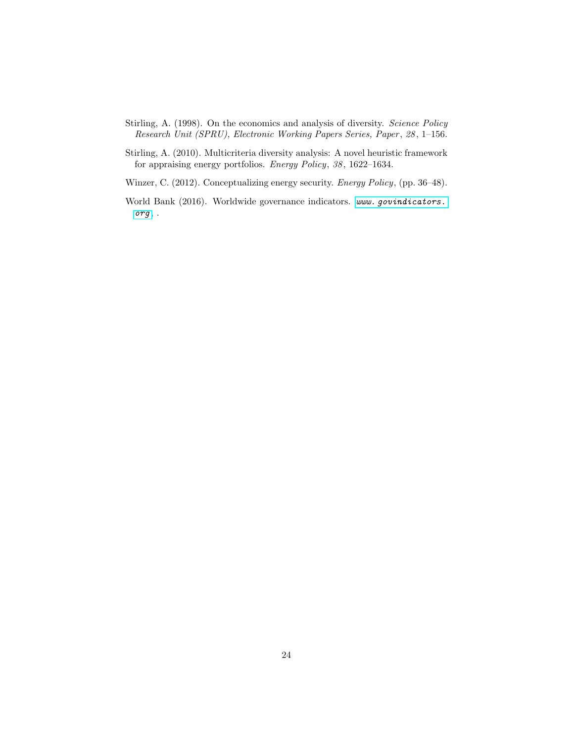- <span id="page-25-0"></span>Stirling, A. (1998). On the economics and analysis of diversity. Science Policy Research Unit (SPRU), Electronic Working Papers Series, Paper , 28 , 1–156.
- <span id="page-25-2"></span>Stirling, A. (2010). Multicriteria diversity analysis: A novel heuristic framework for appraising energy portfolios. Energy Policy, 38 , 1622–1634.
- <span id="page-25-1"></span>Winzer, C. (2012). Conceptualizing energy security. Energy Policy, (pp. 36–48).
- <span id="page-25-3"></span>World Bank (2016). Worldwide governance indicators. www. qovindicators. [org](www.govindicators.org) , .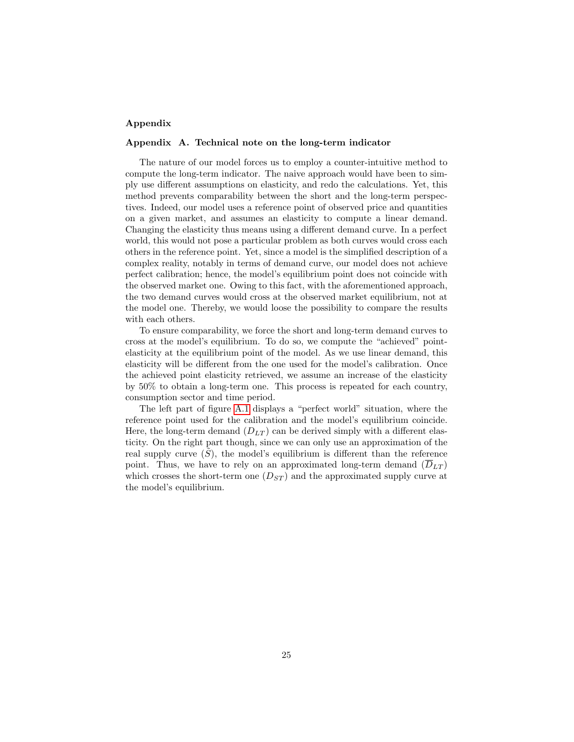## Appendix

## <span id="page-26-0"></span>Appendix A. Technical note on the long-term indicator

The nature of our model forces us to employ a counter-intuitive method to compute the long-term indicator. The naive approach would have been to simply use different assumptions on elasticity, and redo the calculations. Yet, this method prevents comparability between the short and the long-term perspectives. Indeed, our model uses a reference point of observed price and quantities on a given market, and assumes an elasticity to compute a linear demand. Changing the elasticity thus means using a different demand curve. In a perfect world, this would not pose a particular problem as both curves would cross each others in the reference point. Yet, since a model is the simplified description of a complex reality, notably in terms of demand curve, our model does not achieve perfect calibration; hence, the model's equilibrium point does not coincide with the observed market one. Owing to this fact, with the aforementioned approach, the two demand curves would cross at the observed market equilibrium, not at the model one. Thereby, we would loose the possibility to compare the results with each others.

To ensure comparability, we force the short and long-term demand curves to cross at the model's equilibrium. To do so, we compute the "achieved" pointelasticity at the equilibrium point of the model. As we use linear demand, this elasticity will be different from the one used for the model's calibration. Once the achieved point elasticity retrieved, we assume an increase of the elasticity by 50% to obtain a long-term one. This process is repeated for each country, consumption sector and time period.

The left part of figure [A.1](#page-27-0) displays a "perfect world" situation, where the reference point used for the calibration and the model's equilibrium coincide. Here, the long-term demand  $(D_{LT})$  can be derived simply with a different elasticity. On the right part though, since we can only use an approximation of the real supply curve  $(S)$ , the model's equilibrium is different than the reference point. Thus, we have to rely on an approximated long-term demand  $(\overline{D}_{LT})$ which crosses the short-term one  $(D_{ST})$  and the approximated supply curve at the model's equilibrium.